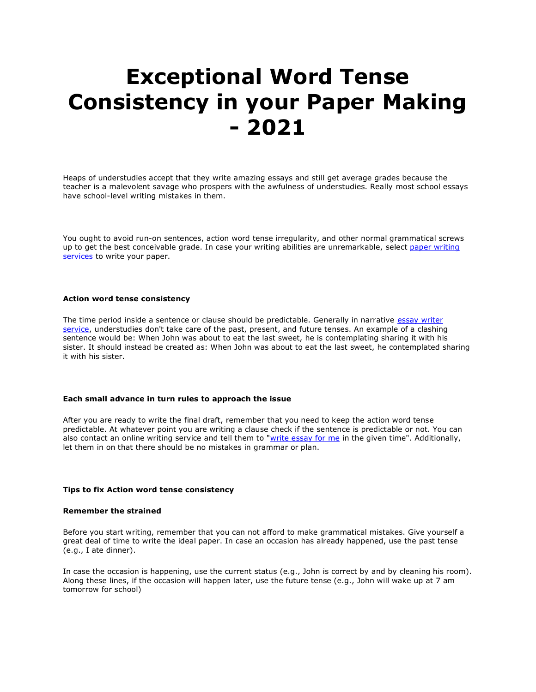# **Exceptional Word Tense Consistency in your Paper Making - 2021**

Heaps of understudies accept that they write amazing essays and still get average grades because the teacher is a malevolent savage who prospers with the awfulness of understudies. Really most school essays have school-level writing mistakes in them.

You ought to avoid run-on sentences, action word tense irregularity, and other normal grammatical screws up to get the best conceivable grade. In case your writing abilities are unremarkable, select paper writing [services](https://www.myperfectpaper.net/) to write your paper.

# **Action word tense consistency**

The time period inside a sentence or clause should be predictable. Generally in narrative essay writer [service,](https://www.myperfectpaper.net/) understudies don't take care of the past, present, and future tenses. An example of a clashing sentence would be: When John was about to eat the last sweet, he is contemplating sharing it with his sister. It should instead be created as: When John was about to eat the last sweet, he contemplated sharing it with his sister.

# **Each small advance in turn rules to approach the issue**

After you are ready to write the final draft, remember that you need to keep the action word tense predictable. At whatever point you are writing a clause check if the sentence is predictable or not. You can also contact an online writing service and tell them to ["write essay for me](https://www.writemyessay.help/) in the given time". Additionally, let them in on that there should be no mistakes in grammar or plan.

### **Tips to fix Action word tense consistency**

### **Remember the strained**

Before you start writing, remember that you can not afford to make grammatical mistakes. Give yourself a great deal of time to write the ideal paper. In case an occasion has already happened, use the past tense (e.g., I ate dinner).

In case the occasion is happening, use the current status (e.g., John is correct by and by cleaning his room). Along these lines, if the occasion will happen later, use the future tense (e.g., John will wake up at 7 am tomorrow for school)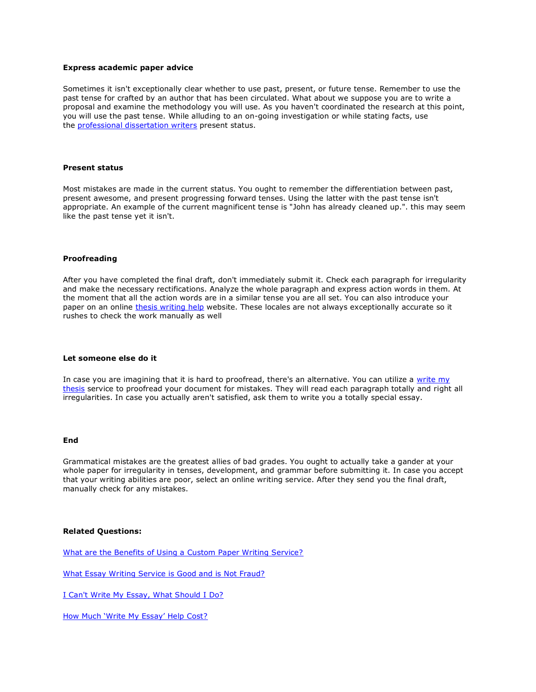# **Express academic paper advice**

Sometimes it isn't exceptionally clear whether to use past, present, or future tense. Remember to use the past tense for crafted by an author that has been circulated. What about we suppose you are to write a proposal and examine the methodology you will use. As you haven't coordinated the research at this point, you will use the past tense. While alluding to an on-going investigation or while stating facts, use the [professional dissertation writers](https://www.gradschoolgenius.com/professional-dissertation-writers) present status.

### **Present status**

Most mistakes are made in the current status. You ought to remember the differentiation between past, present awesome, and present progressing forward tenses. Using the latter with the past tense isn't appropriate. An example of the current magnificent tense is "John has already cleaned up.". this may seem like the past tense yet it isn't.

#### **Proofreading**

After you have completed the final draft, don't immediately submit it. Check each paragraph for irregularity and make the necessary rectifications. Analyze the whole paragraph and express action words in them. At the moment that all the action words are in a similar tense you are all set. You can also introduce your paper on an online [thesis](https://www.gradschoolgenius.com/thesis-writing-service) [writing](https://www.gradschoolgenius.com/thesis-writing-service) [help](https://www.gradschoolgenius.com/thesis-writing-service) website. These locales are not always exceptionally accurate so it rushes to check the work manually as well

#### **Let someone else do it**

In case you are imagining that it is hard to proofread, there's an alternative. You can utilize a write my [thesis](https://www.gradschoolgenius.com/write-my-thesis) service to proofread your document for mistakes. They will read each paragraph totally and right all irregularities. In case you actually aren't satisfied, ask them to write you a totally special essay.

#### **End**

Grammatical mistakes are the greatest allies of bad grades. You ought to actually take a gander at your whole paper for irregularity in tenses, development, and grammar before submitting it. In case you accept that your writing abilities are poor, select an online writing service. After they send you the final draft, manually check for any mistakes.

# **Related Questions:**

[What are the Benefits of Using a Custom Paper Writing Service?](https://www.myperfectpaper.net/paper-writing-service/what-are-the-benefits-of-using-a-custom-paper-writing-service)

[What Essay Writing Service is Good and is Not Fraud?](https://www.myperfectpaper.net/essay-writing-service/what-essay-writing-service-is-good-and-is-not-fraud)

[I Can't Write My Essay, What Should I Do?](https://www.myperfectpaper.net/write-my-essay/I-cant-write-my-essay-what-should-I-do)

[How Much 'Write My Essay' Help Cost?](https://www.myperfectpaper.net/write-my-essay/how-much-write-my-essay-help-cost)